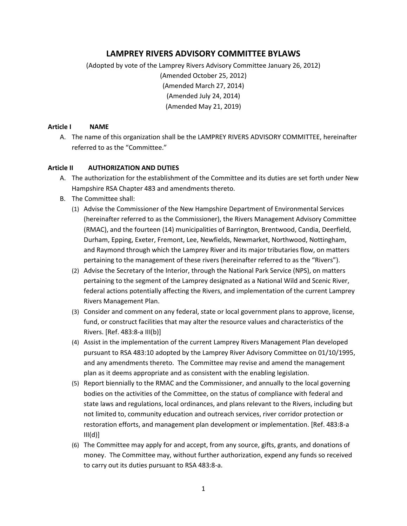# **LAMPREY RIVERS ADVISORY COMMITTEE BYLAWS**

(Adopted by vote of the Lamprey Rivers Advisory Committee January 26, 2012) (Amended October 25, 2012) (Amended March 27, 2014) (Amended July 24, 2014) (Amended May 21, 2019)

#### **Article I NAME**

A. The name of this organization shall be the LAMPREY RIVERS ADVISORY COMMITTEE, hereinafter referred to as the "Committee."

#### **Article II AUTHORIZATION AND DUTIES**

- A. The authorization for the establishment of the Committee and its duties are set forth under New Hampshire RSA Chapter 483 and amendments thereto.
- B. The Committee shall:
	- (1) Advise the Commissioner of the New Hampshire Department of Environmental Services (hereinafter referred to as the Commissioner), the Rivers Management Advisory Committee (RMAC), and the fourteen (14) municipalities of Barrington, Brentwood, Candia, Deerfield, Durham, Epping, Exeter, Fremont, Lee, Newfields, Newmarket, Northwood, Nottingham, and Raymond through which the Lamprey River and its major tributaries flow, on matters pertaining to the management of these rivers (hereinafter referred to as the "Rivers").
	- (2) Advise the Secretary of the Interior, through the National Park Service (NPS), on matters pertaining to the segment of the Lamprey designated as a National Wild and Scenic River, federal actions potentially affecting the Rivers, and implementation of the current Lamprey Rivers Management Plan.
	- (3) Consider and comment on any federal, state or local government plans to approve, license, fund, or construct facilities that may alter the resource values and characteristics of the Rivers. [Ref. 483:8-a III(b)]
	- (4) Assist in the implementation of the current Lamprey Rivers Management Plan developed pursuant to RSA 483:10 adopted by the Lamprey River Advisory Committee on 01/10/1995, and any amendments thereto. The Committee may revise and amend the management plan as it deems appropriate and as consistent with the enabling legislation.
	- (5) Report biennially to the RMAC and the Commissioner, and annually to the local governing bodies on the activities of the Committee, on the status of compliance with federal and state laws and regulations, local ordinances, and plans relevant to the Rivers, including but not limited to, community education and outreach services, river corridor protection or restoration efforts, and management plan development or implementation. [Ref. 483:8-a  $III(d)]$
	- (6) The Committee may apply for and accept, from any source, gifts, grants, and donations of money. The Committee may, without further authorization, expend any funds so received to carry out its duties pursuant to RSA 483:8-a.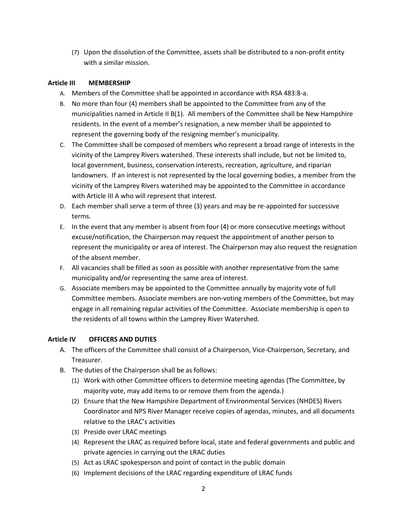(7) Upon the dissolution of the Committee, assets shall be distributed to a non-profit entity with a similar mission.

### **Article III MEMBERSHIP**

- A. Members of the Committee shall be appointed in accordance with RSA 483:8-a.
- B. No more than four (4) members shall be appointed to the Committee from any of the municipalities named in Article II B(1). All members of the Committee shall be New Hampshire residents. In the event of a member's resignation, a new member shall be appointed to represent the governing body of the resigning member's municipality.
- C. The Committee shall be composed of members who represent a broad range of interests in the vicinity of the Lamprey Rivers watershed. These interests shall include, but not be limited to, local government, business, conservation interests, recreation, agriculture, and riparian landowners. If an interest is not represented by the local governing bodies, a member from the vicinity of the Lamprey Rivers watershed may be appointed to the Committee in accordance with Article III A who will represent that interest.
- D. Each member shall serve a term of three (3) years and may be re-appointed for successive terms.
- E. In the event that any member is absent from four (4) or more consecutive meetings without excuse/notification, the Chairperson may request the appointment of another person to represent the municipality or area of interest. The Chairperson may also request the resignation of the absent member.
- F. All vacancies shall be filled as soon as possible with another representative from the same municipality and/or representing the same area of interest.
- G. Associate members may be appointed to the Committee annually by majority vote of full Committee members. Associate members are non-voting members of the Committee, but may engage in all remaining regular activities of the Committee. Associate membership is open to the residents of all towns within the Lamprey River Watershed.

# **Article IV OFFICERS AND DUTIES**

- A. The officers of the Committee shall consist of a Chairperson, Vice-Chairperson, Secretary, and Treasurer.
- B. The duties of the Chairperson shall be as follows:
	- (1) Work with other Committee officers to determine meeting agendas (The Committee, by majority vote, may add items to or remove them from the agenda.)
	- (2) Ensure that the New Hampshire Department of Environmental Services (NHDES) Rivers Coordinator and NPS River Manager receive copies of agendas, minutes, and all documents relative to the LRAC's activities
	- (3) Preside over LRAC meetings
	- (4) Represent the LRAC as required before local, state and federal governments and public and private agencies in carrying out the LRAC duties
	- (5) Act as LRAC spokesperson and point of contact in the public domain
	- (6) Implement decisions of the LRAC regarding expenditure of LRAC funds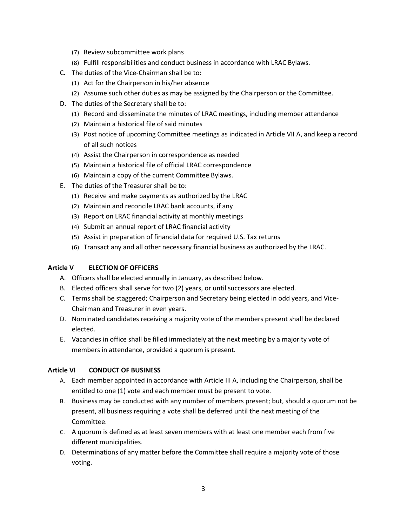- (7) Review subcommittee work plans
- (8) Fulfill responsibilities and conduct business in accordance with LRAC Bylaws.
- C. The duties of the Vice-Chairman shall be to:
	- (1) Act for the Chairperson in his/her absence
	- (2) Assume such other duties as may be assigned by the Chairperson or the Committee.
- D. The duties of the Secretary shall be to:
	- (1) Record and disseminate the minutes of LRAC meetings, including member attendance
	- (2) Maintain a historical file of said minutes
	- (3) Post notice of upcoming Committee meetings as indicated in Article VII A, and keep a record of all such notices
	- (4) Assist the Chairperson in correspondence as needed
	- (5) Maintain a historical file of official LRAC correspondence
	- (6) Maintain a copy of the current Committee Bylaws.
- E. The duties of the Treasurer shall be to:
	- (1) Receive and make payments as authorized by the LRAC
	- (2) Maintain and reconcile LRAC bank accounts, if any
	- (3) Report on LRAC financial activity at monthly meetings
	- (4) Submit an annual report of LRAC financial activity
	- (5) Assist in preparation of financial data for required U.S. Tax returns
	- (6) Transact any and all other necessary financial business as authorized by the LRAC.

#### **Article V ELECTION OF OFFICERS**

- A. Officers shall be elected annually in January, as described below.
- B. Elected officers shall serve for two (2) years, or until successors are elected.
- C. Terms shall be staggered; Chairperson and Secretary being elected in odd years, and Vice-Chairman and Treasurer in even years.
- D. Nominated candidates receiving a majority vote of the members present shall be declared elected.
- E. Vacancies in office shall be filled immediately at the next meeting by a majority vote of members in attendance, provided a quorum is present.

#### **Article VI CONDUCT OF BUSINESS**

- A. Each member appointed in accordance with Article III A, including the Chairperson, shall be entitled to one (1) vote and each member must be present to vote.
- B. Business may be conducted with any number of members present; but, should a quorum not be present, all business requiring a vote shall be deferred until the next meeting of the Committee.
- C. A quorum is defined as at least seven members with at least one member each from five different municipalities.
- D. Determinations of any matter before the Committee shall require a majority vote of those voting.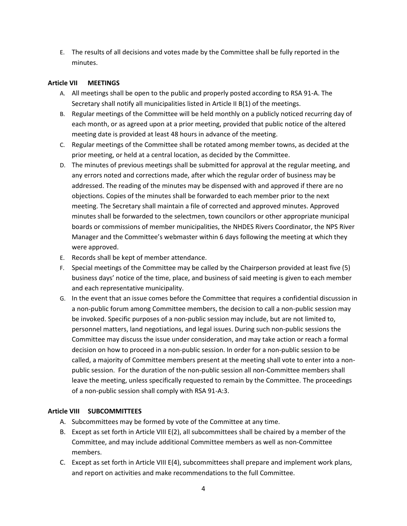E. The results of all decisions and votes made by the Committee shall be fully reported in the minutes.

#### **Article VII MEETINGS**

- A. All meetings shall be open to the public and properly posted according to RSA 91-A. The Secretary shall notify all municipalities listed in Article II B(1) of the meetings.
- B. Regular meetings of the Committee will be held monthly on a publicly noticed recurring day of each month, or as agreed upon at a prior meeting, provided that public notice of the altered meeting date is provided at least 48 hours in advance of the meeting.
- C. Regular meetings of the Committee shall be rotated among member towns, as decided at the prior meeting, or held at a central location, as decided by the Committee.
- D. The minutes of previous meetings shall be submitted for approval at the regular meeting, and any errors noted and corrections made, after which the regular order of business may be addressed. The reading of the minutes may be dispensed with and approved if there are no objections. Copies of the minutes shall be forwarded to each member prior to the next meeting. The Secretary shall maintain a file of corrected and approved minutes. Approved minutes shall be forwarded to the selectmen, town councilors or other appropriate municipal boards or commissions of member municipalities, the NHDES Rivers Coordinator, the NPS River Manager and the Committee's webmaster within 6 days following the meeting at which they were approved.
- E. Records shall be kept of member attendance.
- F. Special meetings of the Committee may be called by the Chairperson provided at least five (5) business days' notice of the time, place, and business of said meeting is given to each member and each representative municipality.
- G. In the event that an issue comes before the Committee that requires a confidential discussion in a non-public forum among Committee members, the decision to call a non-public session may be invoked. Specific purposes of a non-public session may include, but are not limited to, personnel matters, land negotiations, and legal issues. During such non-public sessions the Committee may discuss the issue under consideration, and may take action or reach a formal decision on how to proceed in a non-public session. In order for a non-public session to be called, a majority of Committee members present at the meeting shall vote to enter into a nonpublic session. For the duration of the non-public session all non-Committee members shall leave the meeting, unless specifically requested to remain by the Committee. The proceedings of a non-public session shall comply with RSA 91-A:3.

#### **Article VIII SUBCOMMITTEES**

- A. Subcommittees may be formed by vote of the Committee at any time.
- B. Except as set forth in Article VIII E(2), all subcommittees shall be chaired by a member of the Committee, and may include additional Committee members as well as non-Committee members.
- C. Except as set forth in Article VIII E(4), subcommittees shall prepare and implement work plans, and report on activities and make recommendations to the full Committee.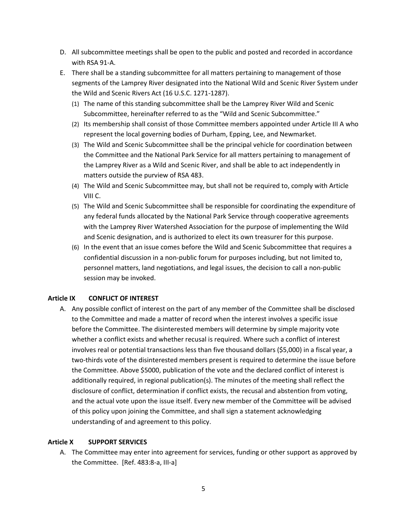- D. All subcommittee meetings shall be open to the public and posted and recorded in accordance with RSA 91-A.
- E. There shall be a standing subcommittee for all matters pertaining to management of those segments of the Lamprey River designated into the National Wild and Scenic River System under the Wild and Scenic Rivers Act (16 U.S.C. 1271-1287).
	- (1) The name of this standing subcommittee shall be the Lamprey River Wild and Scenic Subcommittee, hereinafter referred to as the "Wild and Scenic Subcommittee."
	- (2) Its membership shall consist of those Committee members appointed under Article III A who represent the local governing bodies of Durham, Epping, Lee, and Newmarket.
	- (3) The Wild and Scenic Subcommittee shall be the principal vehicle for coordination between the Committee and the National Park Service for all matters pertaining to management of the Lamprey River as a Wild and Scenic River, and shall be able to act independently in matters outside the purview of RSA 483.
	- (4) The Wild and Scenic Subcommittee may, but shall not be required to, comply with Article VIII C.
	- (5) The Wild and Scenic Subcommittee shall be responsible for coordinating the expenditure of any federal funds allocated by the National Park Service through cooperative agreements with the Lamprey River Watershed Association for the purpose of implementing the Wild and Scenic designation, and is authorized to elect its own treasurer for this purpose.
	- (6) In the event that an issue comes before the Wild and Scenic Subcommittee that requires a confidential discussion in a non-public forum for purposes including, but not limited to, personnel matters, land negotiations, and legal issues, the decision to call a non-public session may be invoked.

#### **Article IX CONFLICT OF INTEREST**

A. Any possible conflict of interest on the part of any member of the Committee shall be disclosed to the Committee and made a matter of record when the interest involves a specific issue before the Committee. The disinterested members will determine by simple majority vote whether a conflict exists and whether recusal is required. Where such a conflict of interest involves real or potential transactions less than five thousand dollars (\$5,000) in a fiscal year, a two-thirds vote of the disinterested members present is required to determine the issue before the Committee. Above \$5000, publication of the vote and the declared conflict of interest is additionally required, in regional publication(s). The minutes of the meeting shall reflect the disclosure of conflict, determination if conflict exists, the recusal and abstention from voting, and the actual vote upon the issue itself. Every new member of the Committee will be advised of this policy upon joining the Committee, and shall sign a statement acknowledging understanding of and agreement to this policy.

#### **Article X SUPPORT SERVICES**

A. The Committee may enter into agreement for services, funding or other support as approved by the Committee. [Ref. 483:8-a, III-a]